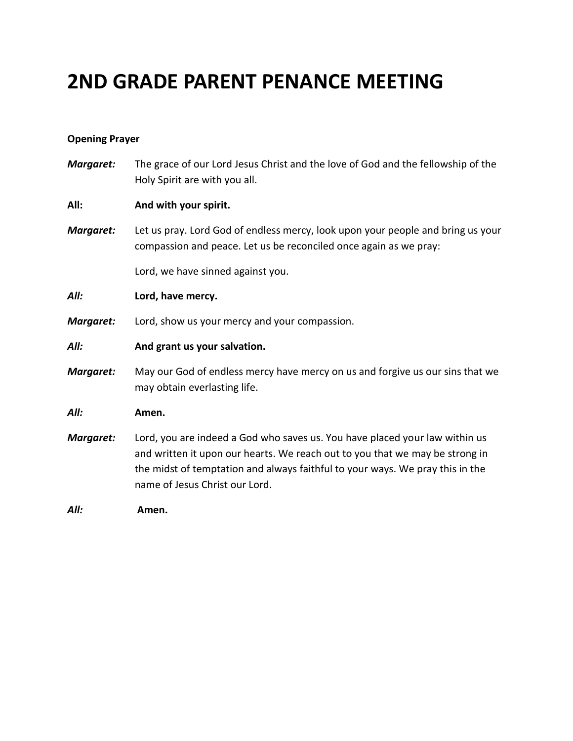# **2ND GRADE PARENT PENANCE MEETING**

#### **Opening Prayer**

*Margaret:* The grace of our Lord Jesus Christ and the love of God and the fellowship of the Holy Spirit are with you all.

#### **All: And with your spirit.**

*Margaret:* Let us pray. Lord God of endless mercy, look upon your people and bring us your compassion and peace. Let us be reconciled once again as we pray:

Lord, we have sinned against you.

*All:* **Lord, have mercy.**

*Margaret:* Lord, show us your mercy and your compassion.

#### *All:* **And grant us your salvation.**

*Margaret:* May our God of endless mercy have mercy on us and forgive us our sins that we may obtain everlasting life.

#### *All:* **Amen.**

*Margaret:* Lord, you are indeed a God who saves us. You have placed your law within us and written it upon our hearts. We reach out to you that we may be strong in the midst of temptation and always faithful to your ways. We pray this in the name of Jesus Christ our Lord.

*All:* **Amen.**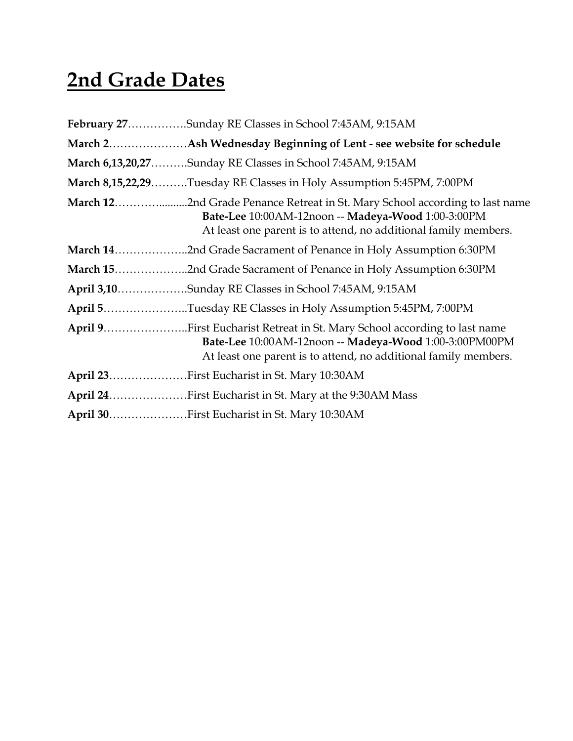# **2nd Grade Dates**

| February 27Sunday RE Classes in School 7:45AM, 9:15AM                                                                                                                                                 |
|-------------------------------------------------------------------------------------------------------------------------------------------------------------------------------------------------------|
|                                                                                                                                                                                                       |
| <b>March 6,13,20,27Sunday RE Classes in School 7:45AM, 9:15AM</b>                                                                                                                                     |
| March 8,15,22,29Tuesday RE Classes in Holy Assumption 5:45PM, 7:00PM                                                                                                                                  |
| Bate-Lee 10:00AM-12noon -- Madeya-Wood 1:00-3:00PM<br>At least one parent is to attend, no additional family members.                                                                                 |
|                                                                                                                                                                                                       |
|                                                                                                                                                                                                       |
| April 3,10Sunday RE Classes in School 7:45AM, 9:15AM                                                                                                                                                  |
| April 5Tuesday RE Classes in Holy Assumption 5:45PM, 7:00PM                                                                                                                                           |
| April 9First Eucharist Retreat in St. Mary School according to last name<br>Bate-Lee 10:00AM-12noon -- Madeya-Wood 1:00-3:00PM00PM<br>At least one parent is to attend, no additional family members. |
| April 23First Eucharist in St. Mary 10:30AM                                                                                                                                                           |
| April 24First Eucharist in St. Mary at the 9:30AM Mass                                                                                                                                                |
| April 30First Eucharist in St. Mary 10:30AM                                                                                                                                                           |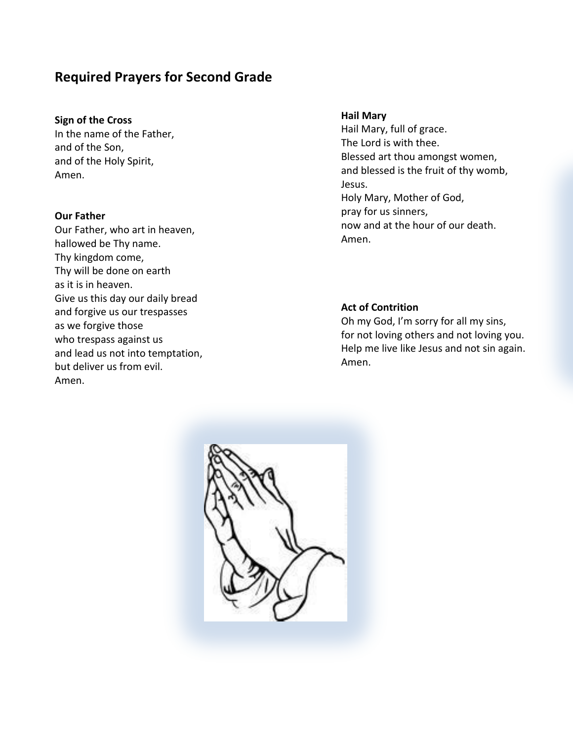### **Required Prayers for Second Grade**

#### **Sign of the Cross**

In the name of the Father, and of the Son, and of the Holy Spirit, Amen.

#### **Our Father**

Our Father, who art in heaven, hallowed be Thy name. Thy kingdom come, Thy will be done on earth as it is in heaven. Give us this day our daily bread and forgive us our trespasses as we forgive those who trespass against us and lead us not into temptation, but deliver us from evil. Amen.

#### **Hail Mary**

Hail Mary, full of grace. The Lord is with thee. Blessed art thou amongst women, and blessed is the fruit of thy womb, Jesus. Holy Mary, Mother of God, pray for us sinners, now and at the hour of our death. Amen.

#### **Act of Contrition**

Oh my God, I'm sorry for all my sins, for not loving others and not loving you. Help me live like Jesus and not sin again. Amen.

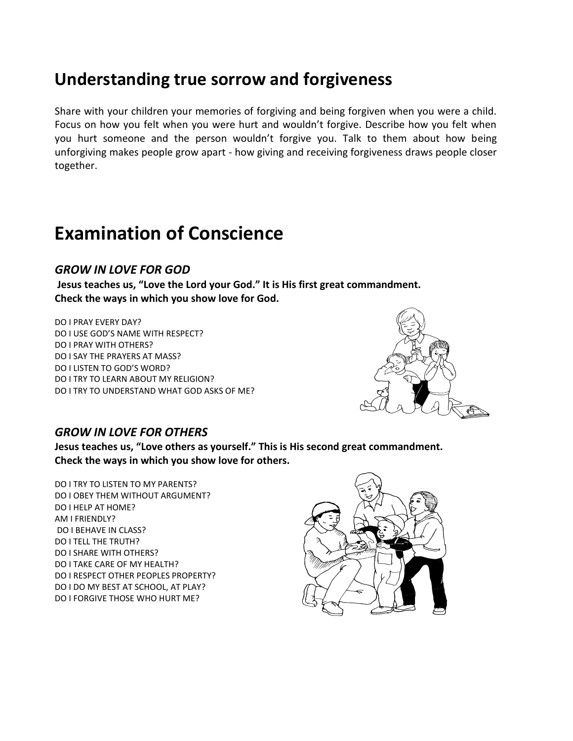### **Understanding true sorrow and forgiveness**

Share with your children your memories of forgiving and being forgiven when you were a child. Focus on how you felt when you were hurt and wouldn't forgive. Describe how you felt when you hurt someone and the person wouldn't forgive you. Talk to them about how being unforgiving makes people grow apart - how giving and receiving forgiveness draws people closer together.

## **Examination of Conscience**

### *GROW IN LOVE FOR GOD*

**Jesus teaches us, "Love the Lord your God." It is His first great commandment. Check the ways in which you show love for God.**

DO I PRAY EVERY DAY? DO I USE GOD'S NAME WITH RESPECT? DO I PRAY WITH OTHERS? DO I SAY THE PRAYERS AT MASS? DO I LISTEN TO GOD'S WORD? DO I TRY TO LEARN ABOUT MY RELIGION? DO I TRY TO UNDERSTAND WHAT GOD ASKS OF ME?



### *GROW IN LOVE FOR OTHERS*

**Jesus teaches us, "Love others as yourself." This is His second great commandment. Check the ways in which you show love for others.**

DO I TRY TO LISTEN TO MY PARENTS? DO I OBEY THEM WITHOUT ARGUMENT? DO I HELP AT HOME? AM I FRIENDLY? DO I BEHAVE IN CLASS? DO I TELL THE TRUTH? DO I SHARE WITH OTHERS? DO I TAKE CARE OF MY HEALTH? DO I RESPECT OTHER PEOPLES PROPERTY? DO I DO MY BEST AT SCHOOL, AT PLAY? DO I FORGIVE THOSE WHO HURT ME?

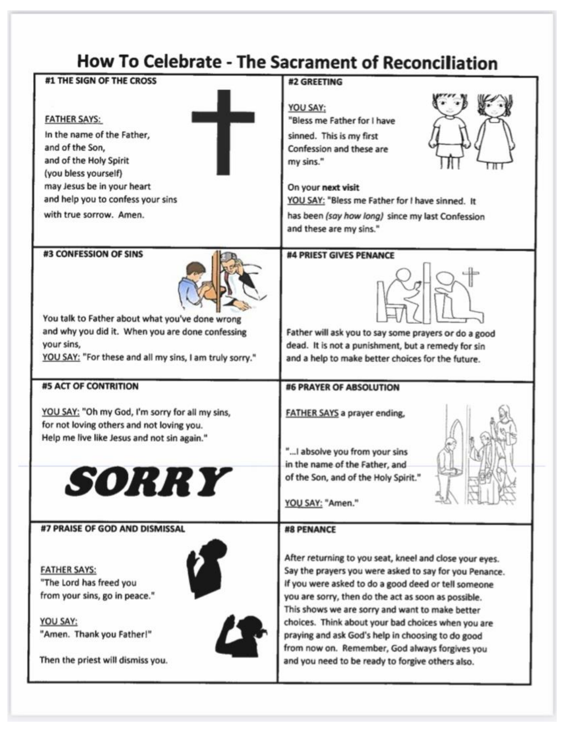# How To Celebrate - The Sacrament of Reconciliation

| #1 THE SIGN OF THE CROSS                                                                                                                                                                                             |                                                                                                                                                                                                                                                                                                                                                                                                                                                                                                     |
|----------------------------------------------------------------------------------------------------------------------------------------------------------------------------------------------------------------------|-----------------------------------------------------------------------------------------------------------------------------------------------------------------------------------------------------------------------------------------------------------------------------------------------------------------------------------------------------------------------------------------------------------------------------------------------------------------------------------------------------|
|                                                                                                                                                                                                                      | #2 GREETING                                                                                                                                                                                                                                                                                                                                                                                                                                                                                         |
| <b>FATHER SAYS:</b><br>In the name of the Father,<br>and of the Son,<br>and of the Holy Spirit<br>(you bless yourself)<br>may Jesus be in your heart<br>and help you to confess your sins<br>with true sorrow. Amen. | YOU SAY:<br>"Bless me Father for I have<br>sinned. This is my first<br>Confession and these are<br>my sins."<br>On your next visit<br>YOU SAY: "Bless me Father for I have sinned. It<br>has been (say how long) since my last Confession<br>and these are my sins."                                                                                                                                                                                                                                |
| #3 CONFESSION OF SINS<br>You talk to Father about what you've done wrong<br>and why you did it. When you are done confessing<br>your sins,<br>YOU SAY: "For these and all my sins, I am truly sorry."                | #4 PRIEST GIVES PENANCE<br>Father will ask you to say some prayers or do a good<br>dead. It is not a punishment, but a remedy for sin<br>and a help to make better choices for the future.                                                                                                                                                                                                                                                                                                          |
| <b>#5 ACT OF CONTRITION</b>                                                                                                                                                                                          | <b>#6 PRAYER OF ABSOLUTION</b>                                                                                                                                                                                                                                                                                                                                                                                                                                                                      |
| YOU SAY: "Oh my God, I'm sorry for all my sins,<br>for not loving others and not loving you.<br>Help me live like Jesus and not sin again."                                                                          | <b>FATHER SAYS a prayer ending,</b><br>" I absolve you from your sins<br>in the name of the Father, and<br>of the Son, and of the Holy Spirit."<br>YOU SAY: "Amen."                                                                                                                                                                                                                                                                                                                                 |
| #7 PRAISE OF GOD AND DISMISSAL                                                                                                                                                                                       | #8 PENANCE                                                                                                                                                                                                                                                                                                                                                                                                                                                                                          |
| <b>FATHER SAYS:</b><br>"The Lord has freed you<br>from your sins, go in peace."<br>YOU SAY:<br>"Amen. Thank you Father!"<br>Then the priest will dismiss you.                                                        | After returning to you seat, kneel and close your eyes.<br>Say the prayers you were asked to say for you Penance.<br>If you were asked to do a good deed or tell someone<br>you are sorry, then do the act as soon as possible.<br>This shows we are sorry and want to make better<br>choices. Think about your bad choices when you are<br>praying and ask God's help in choosing to do good<br>from now on. Remember, God always forgives you<br>and you need to be ready to forgive others also. |